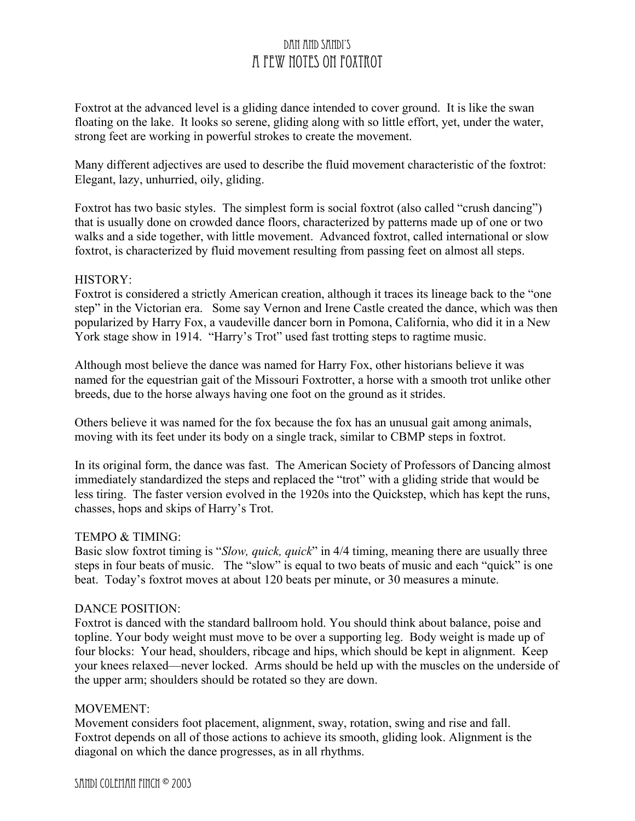# Dan and Sandi's A Few Notes on Foxtrot

Foxtrot at the advanced level is a gliding dance intended to cover ground. It is like the swan floating on the lake. It looks so serene, gliding along with so little effort, yet, under the water, strong feet are working in powerful strokes to create the movement.

Many different adjectives are used to describe the fluid movement characteristic of the foxtrot: Elegant, lazy, unhurried, oily, gliding.

Foxtrot has two basic styles. The simplest form is social foxtrot (also called "crush dancing") that is usually done on crowded dance floors, characterized by patterns made up of one or two walks and a side together, with little movement. Advanced foxtrot, called international or slow foxtrot, is characterized by fluid movement resulting from passing feet on almost all steps.

## HISTORY:

Foxtrot is considered a strictly American creation, although it traces its lineage back to the "one step" in the Victorian era. Some say Vernon and Irene Castle created the dance, which was then popularized by Harry Fox, a vaudeville dancer born in Pomona, California, who did it in a New York stage show in 1914. "Harry's Trot" used fast trotting steps to ragtime music.

Although most believe the dance was named for Harry Fox, other historians believe it was named for the equestrian gait of the Missouri Foxtrotter, a horse with a smooth trot unlike other breeds, due to the horse always having one foot on the ground as it strides.

Others believe it was named for the fox because the fox has an unusual gait among animals, moving with its feet under its body on a single track, similar to CBMP steps in foxtrot.

In its original form, the dance was fast. The American Society of Professors of Dancing almost immediately standardized the steps and replaced the "trot" with a gliding stride that would be less tiring. The faster version evolved in the 1920s into the Quickstep, which has kept the runs, chasses, hops and skips of Harry's Trot.

## TEMPO & TIMING:

Basic slow foxtrot timing is "*Slow, quick, quick*" in 4/4 timing, meaning there are usually three steps in four beats of music. The "slow" is equal to two beats of music and each "quick" is one beat. Today's foxtrot moves at about 120 beats per minute, or 30 measures a minute.

#### DANCE POSITION:

Foxtrot is danced with the standard ballroom hold. You should think about balance, poise and topline. Your body weight must move to be over a supporting leg. Body weight is made up of four blocks: Your head, shoulders, ribcage and hips, which should be kept in alignment. Keep your knees relaxed—never locked. Arms should be held up with the muscles on the underside of the upper arm; shoulders should be rotated so they are down.

#### MOVEMENT:

Movement considers foot placement, alignment, sway, rotation, swing and rise and fall. Foxtrot depends on all of those actions to achieve its smooth, gliding look. Alignment is the diagonal on which the dance progresses, as in all rhythms.